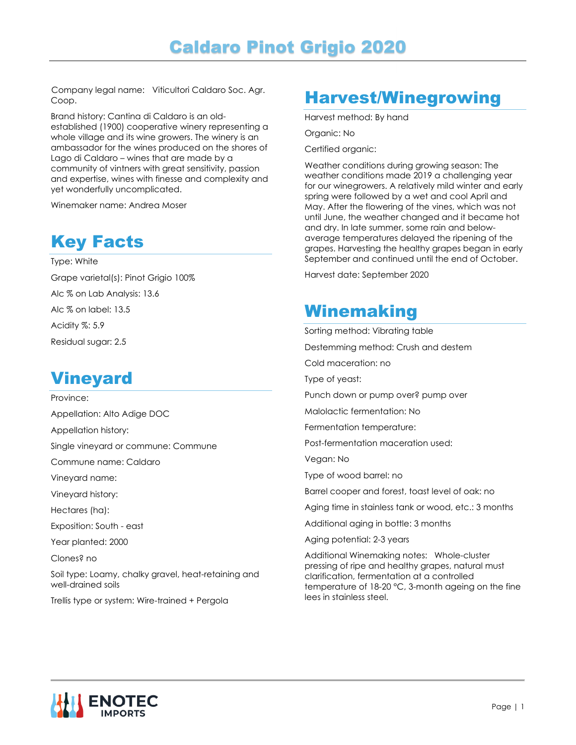Company legal name: Viticultori Caldaro Soc. Agr. Coop.

Brand history: Cantina di Caldaro is an oldestablished (1900) cooperative winery representing a whole village and its wine growers. The winery is an ambassador for the wines produced on the shores of Lago di Caldaro – wines that are made by a community of vintners with great sensitivity, passion and expertise, wines with finesse and complexity and yet wonderfully uncomplicated.

Winemaker name: Andrea Moser

## Key Facts

Type: White

Grape varietal(s): Pinot Grigio 100% Alc % on Lab Analysis: 13.6 Alc % on label: 13.5 Acidity %: 5.9 Residual sugar: 2.5

#### Vineyard

Province: Appellation: Alto Adige DOC Appellation history: Single vineyard or commune: Commune Commune name: Caldaro Vineyard name: Vineyard history: Hectares (ha): Exposition: South - east Year planted: 2000 Clones? no Soil type: Loamy, chalky gravel, heat-retaining and well-drained soils

Trellis type or system: Wire-trained + Pergola

## Harvest/Winegrowing

Harvest method: By hand

Organic: No

Certified organic:

Weather conditions during growing season: The weather conditions made 2019 a challenging year for our winegrowers. A relatively mild winter and early spring were followed by a wet and cool April and May. After the flowering of the vines, which was not until June, the weather changed and it became hot and dry. In late summer, some rain and belowaverage temperatures delayed the ripening of the grapes. Harvesting the healthy grapes began in early September and continued until the end of October.

Harvest date: September 2020

#### Winemaking

Sorting method: Vibrating table Destemming method: Crush and destem Cold maceration: no Type of yeast: Punch down or pump over? pump over Malolactic fermentation: No Fermentation temperature: Post-fermentation maceration used: Vegan: No Type of wood barrel: no Barrel cooper and forest, toast level of oak: no Aging time in stainless tank or wood, etc.: 3 months Additional aging in bottle: 3 months Aging potential: 2-3 years Additional Winemaking notes: Whole-cluster pressing of ripe and healthy grapes, natural must clarification, fermentation at a controlled temperature of 18-20 °C, 3-month ageing on the fine lees in stainless steel.